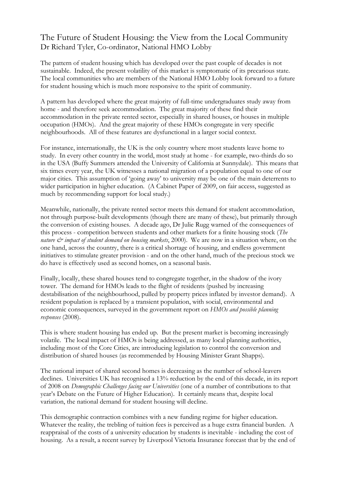## The Future of Student Housing: the View from the Local Community Dr Richard Tyler, Co-ordinator, National HMO Lobby

The pattern of student housing which has developed over the past couple of decades is not sustainable. Indeed, the present volatility of this market is symptomatic of its precarious state. The local communities who are members of the National HMO Lobby look forward to a future for student housing which is much more responsive to the spirit of community.

A pattern has developed where the great majority of full-time undergraduates study away from home - and therefore seek accommodation. The great majority of these find their accommodation in the private rented sector, especially in shared houses, or houses in multiple occupation (HMOs). And the great majority of these HMOs congregate in very specific neighbourhoods. All of these features are dysfunctional in a larger social context.

For instance, internationally, the UK is the only country where most students leave home to study. In every other country in the world, most study at home - for example, two-thirds do so in the USA (Buffy Summers attended the University of California at Sunnydale). This means that six times every year, the UK witnesses a national migration of a population equal to one of our major cities. This assumption of 'going away' to university may be one of the main deterrents to wider participation in higher education. (A Cabinet Paper of 2009, on fair access, suggested as much by recommending support for local study.)

Meanwhile, nationally, the private rented sector meets this demand for student accommodation, not through purpose-built developments (though there are many of these), but primarily through the conversion of existing houses. A decade ago, Dr Julie Rugg warned of the consequences of this process - competition between students and other markets for a finite housing stock (*The nature & impact of student demand on housing markets*, 2000). We are now in a situation where, on the one hand, across the country, there is a critical shortage of housing, and endless government initiatives to stimulate greater provision - and on the other hand, much of the precious stock we do have is effectively used as second homes, on a seasonal basis.

Finally, locally, these shared houses tend to congregate together, in the shadow of the ivory tower. The demand for HMOs leads to the flight of residents (pushed by increasing destabilisation of the neighbourhood, pulled by property prices inflated by investor demand). A resident population is replaced by a transient population, with social, environmental and economic consequences, surveyed in the government report on *HMOs and possible planning responses* (2008).

This is where student housing has ended up. But the present market is becoming increasingly volatile. The local impact of HMOs is being addressed, as many local planning authorities, including most of the Core Cities, are introducing legislation to control the conversion and distribution of shared houses (as recommended by Housing Minister Grant Shapps).

The national impact of shared second homes is decreasing as the number of school-leavers declines. Universities UK has recognised a 13% reduction by the end of this decade, in its report of 2008 on *Demographic Challenges facing our Universities* (one of a number of contributions to that year's Debate on the Future of Higher Education). It certainly means that, despite local variation, the national demand for student housing will decline.

This demographic contraction combines with a new funding regime for higher education. Whatever the reality, the trebling of tuition fees is perceived as a huge extra financial burden. A reappraisal of the costs of a university education by students is inevitable - including the cost of housing. As a result, a recent survey by Liverpool Victoria Insurance forecast that by the end of